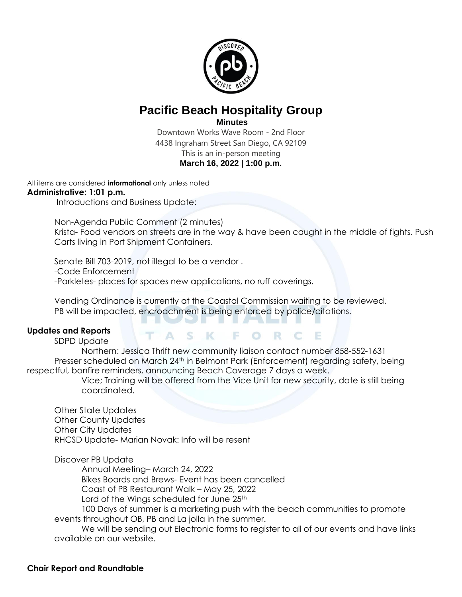

## **Pacific Beach Hospitality Group**

**Minutes**

Downtown Works Wave Room - 2nd Floor 4438 Ingraham Street San Diego, CA 92109 This is an in-person meeting **March 16, 2022 | 1:00 p.m.**

All items are considered **informational** only unless noted

## **Administrative: 1:01 p.m.**

Introductions and Business Update:

Non-Agenda Public Comment (2 minutes) Krista- Food vendors on streets are in the way & have been caught in the middle of fights. Push Carts living in Port Shipment Containers.

Senate Bill 703-2019, not illegal to be a vendor . -Code Enforcement

-Parkletes- places for spaces new applications, no ruff coverings.

Vending Ordinance is currently at the Coastal Commission waiting to be reviewed. PB will be impacted, encroachment is being enforced by police/citations.

20 H H W

## **Updates and Reports**

SDPD Update

Northern: Jessica Thrift new community liaison contact number 858-552-1631 Presser scheduled on March 24<sup>th</sup> in Belmont Park (Enforcement) regarding safety, being respectful, bonfire reminders, announcing Beach Coverage 7 days a week.

Vice; Training will be offered from the Vice Unit for new security, date is still being coordinated.

ASK FORCE

Other State Updates Other County Updates Other City Updates RHCSD Update- Marian Novak: Info will be resent

Discover PB Update

Annual Meeting– March 24, 2022

Bikes Boards and Brews- Event has been cancelled

Coast of PB Restaurant Walk – May 25, 2022

Lord of the Wings scheduled for June 25<sup>th</sup>

100 Days of summer is a marketing push with the beach communities to promote events throughout OB, PB and La jolla in the summer.

We will be sending out Electronic forms to register to all of our events and have links available on our website.

## **Chair Report and Roundtable**